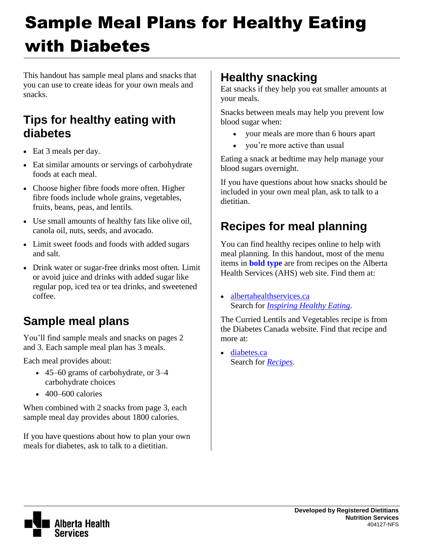# Sample Meal Plans for Healthy Eating with Diabetes

This handout has sample meal plans and snacks that you can use to create ideas for your own meals and snacks.

### **Tips for healthy eating with diabetes**

- Eat 3 meals per day.
- Eat similar amounts or servings of carbohydrate foods at each meal.
- Choose higher fibre foods more often. Higher fibre foods include whole grains, vegetables, fruits, beans, peas, and lentils.
- Use small amounts of healthy fats like olive oil, canola oil, nuts, seeds, and avocado.
- Limit sweet foods and foods with added sugars and salt.
- Drink water or sugar**-**free drinks most often. Limit or avoid juice and drinks with added sugar like regular pop, iced tea or tea drinks, and sweetened coffee.

# **Sample meal plans**

You'll find sample meals and snacks on pages 2 and 3. Each sample meal plan has 3 meals.

Each meal provides about:

- 45–60 grams of carbohydrate, or 3–4 carbohydrate choices
- $\cdot$  400–600 calories

When combined with 2 snacks from page 3, each sample meal day provides about 1800 calories.

If you have questions about how to plan your own meals for diabetes, ask to talk to a dietitian.

### **Healthy snacking**

Eat snacks if they help you eat smaller amounts at your meals.

Snacks between meals may help you prevent low blood sugar when:

- your meals are more than 6 hours apart
- you're more active than usual

Eating a snack at bedtime may help manage your blood sugars overnight.

If you have questions about how snacks should be included in your own meal plan, ask to talk to a dietitian.

## **Recipes for meal planning**

You can find healthy recipes online to help with meal planning. In this handout, most of the menu items in **bold type** are from recipes on the Alberta Health Services (AHS) web site. Find them at:

• [albertahealthservices.ca](file://chfs02.healthy.bewell.ca/RNFS_Educationresources/AHS%20Provincial%20Resource%20System/Approved%20Provincial%20Resources/Handouts/Diabetes/Complete/Sample%20Plans%20for%20HE%20with%20Diabetes/albertahealthservices.ca) Search for *[Inspiring Healthy Eating](https://www.albertahealthservices.ca/nutrition/Page10996.aspx)*.

The Curried Lentils and Vegetables recipe is from the Diabetes Canada website. Find that recipe and more at:

• [diabetes.ca](https://www.diabetes.ca/) Search for *[Recipes](https://www.diabetes.ca/nutrition---fitness/recipes)*.

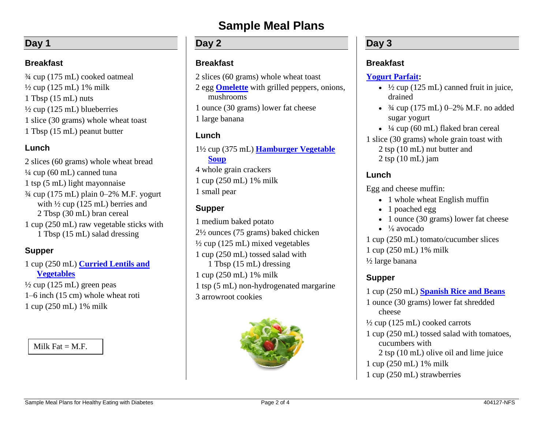### **Sample Meal Plans**

#### **Day 1**

#### **Breakfast**

¾ cup (175 mL) cooked oatmeal ½ cup (125 mL) 1% milk 1 Tbsp (15 mL) nuts  $\frac{1}{2}$  cup (125 mL) blueberries 1 slice (30 grams) whole wheat toast 1 Tbsp (15 mL) peanut butter

#### **Lunch**

2 slices (60 grams) whole wheat bread  $\frac{1}{4}$  cup (60 mL) canned tuna 1 tsp (5 mL) light mayonnaise  $\frac{3}{4}$  cup (175 mL) plain 0–2% M.F. yogurt with  $\frac{1}{2}$  cup (125 mL) berries and 2 Tbsp (30 mL) bran cereal 1 cup (250 mL) raw vegetable sticks with 1 Tbsp (15 mL) salad dressing

#### **Supper**

1 cup (250 mL) **[Curried Lentils and](https://www.diabetes.ca/managing-my-diabetes/recipes/curried-lentils---vegetables)  [Vegetables](https://www.diabetes.ca/managing-my-diabetes/recipes/curried-lentils---vegetables)**  $\frac{1}{2}$  cup (125 mL) green peas 1–6 inch (15 cm) whole wheat roti 1 cup (250 mL) 1% milk

Milk Fat  $=$  M.F.

#### **Day 2**

#### **Breakfast**

- 2 slices (60 grams) whole wheat toast
- 2 egg **[Omelett](http://www.albertahealthservices.ca/assets/info/nutrition/if-nfs-easy-oven-omelette.pdf)e** with grilled peppers, onions, mushrooms
- 1 ounce (30 grams) lower fat cheese
- 1 large banana

#### **Lunch**

1½ cup (375 mL) **[Hamburger Vegetable](http://www.albertahealthservices.ca/assets/info/nutrition/if-nfs-hamburger-vegetable-soup.pdf)  [Soup](http://www.albertahealthservices.ca/assets/info/nutrition/if-nfs-hamburger-vegetable-soup.pdf)** 4 whole grain crackers 1 cup (250 mL) 1% milk 1 small pear

#### **Supper**

1 medium baked potato 2½ ounces (75 grams) baked chicken  $\frac{1}{2}$  cup (125 mL) mixed vegetables 1 cup (250 mL) tossed salad with 1 Tbsp (15 mL) dressing 1 cup (250 mL) 1% milk 1 tsp (5 mL) non-hydrogenated margarine 3 arrowroot cookies



#### **Day 3**

#### **Breakfast**

#### **[Yogurt Parfait:](http://www.albertahealthservices.ca/assets/info/nutrition/if-nfs-yogurt-parfaits.pdf)**

- $\cdot$   $\frac{1}{2}$  cup (125 mL) canned fruit in juice, drained
- $\frac{3}{4}$  cup (175 mL) 0–2% M.F. no added sugar yogurt
- $\cdot$  <sup>1</sup>/4 cup (60 mL) flaked bran cereal
- 1 slice (30 grams) whole grain toast with 2 tsp (10 mL) nut butter and 2 tsp (10 mL) jam

#### **Lunch**

Egg and cheese muffin:

- 1 whole wheat English muffin
- 1 poached egg
- 1 ounce (30 grams) lower fat cheese
- $\bullet$   $\frac{1}{8}$  avocado

1 cup (250 mL) tomato/cucumber slices 1 cup (250 mL) 1% milk ½ large banana

#### **Supper**

1 cup (250 mL) **[Spanish Rice and Beans](http://www.albertahealthservices.ca/assets/info/nutrition/if-nfs-spanish-rice-and-beans.pdf)** 1 ounce (30 grams) lower fat shredded cheese ½ cup (125 mL) cooked carrots 1 cup (250 mL) tossed salad with tomatoes, cucumbers with 2 tsp (10 mL) olive oil and lime juice 1 cup (250 mL) 1% milk 1 cup (250 mL) strawberries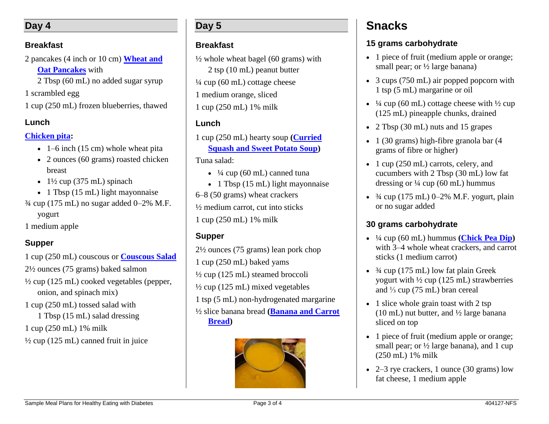#### **Day 4**

#### **Breakfast**

2 pancakes (4 inch or 10 cm) **[Wheat and](http://www.albertahealthservices.ca/assets/info/nutrition/if-nfs-wheat-and-oat-pancakes.pdf)  [Oat Pancakes](http://www.albertahealthservices.ca/assets/info/nutrition/if-nfs-wheat-and-oat-pancakes.pdf)** with

2 Tbsp (60 mL) no added sugar syrup

1 scrambled egg

1 cup (250 mL) frozen blueberries, thawed

#### **Lunch**

#### **[Chicken pita:](http://www.albertahealthservices.ca/assets/info/nutrition/if-nfs-chicken-pitas.pdf)**

- $\bullet$  1–6 inch (15 cm) whole wheat pita
- 2 ounces (60 grams) roasted chicken breast
- $\cdot$  1½ cup (375 mL) spinach
- $\bullet$  1 Tbsp (15 mL) light mayonnaise
- $\frac{3}{4}$  cup (175 mL) no sugar added 0–2% M.F. yogurt

1 medium apple

#### **Supper**

1 cup (250 mL) couscous or **[Couscous Salad](http://www.albertahealthservices.ca/assets/info/nutrition/if-nfs-couscous-salad.pdf)** 2½ ounces (75 grams) baked salmon ½ cup (125 mL) cooked vegetables (pepper, onion, and spinach mix) 1 cup (250 mL) tossed salad with 1 Tbsp (15 mL) salad dressing 1 cup (250 mL) 1% milk

 $\frac{1}{2}$  cup (125 mL) canned fruit in juice

#### **Day 5**

#### **Breakfast**

 $\frac{1}{2}$  whole wheat bagel (60 grams) with 2 tsp (10 mL) peanut butter  $\frac{1}{4}$  cup (60 mL) cottage cheese 1 medium orange, sliced 1 cup (250 mL) 1% milk

#### **Lunch**

1 cup (250 mL) hearty soup **[\(Curried](http://www.albertahealthservices.ca/assets/info/nutrition/if-nfs-curried-squash-and-sweet-potato-soup.pdf)  [Squash and Sweet Potato Soup\)](http://www.albertahealthservices.ca/assets/info/nutrition/if-nfs-curried-squash-and-sweet-potato-soup.pdf)** Tuna salad:

- $\cdot$   $\frac{1}{4}$  cup (60 mL) canned tuna
- $\bullet$  1 Tbsp (15 mL) light mayonnaise

6–8 (50 grams) wheat crackers ½ medium carrot, cut into sticks

1 cup (250 mL) 1% milk

#### **Supper**

2½ ounces (75 grams) lean pork chop 1 cup (250 mL) baked yams ½ cup (125 mL) steamed broccoli  $\frac{1}{2}$  cup (125 mL) mixed vegetables 1 tsp (5 mL) non-hydrogenated margarine ½ slice banana bread **[\(Banana and Carrot](http://www.albertahealthservices.ca/assets/info/nutrition/if-nfs-banana-and-carrot-bread.pdf)  [Bread\)](http://www.albertahealthservices.ca/assets/info/nutrition/if-nfs-banana-and-carrot-bread.pdf)** 



# **Snacks**

#### **15 grams carbohydrate**

- 1 piece of fruit (medium apple or orange; small pear; or  $\frac{1}{2}$  large banana)
- 3 cups (750 mL) air popped popcorn with 1 tsp (5 mL) margarine or oil
- $\cdot$  <sup>1</sup>/4 cup (60 mL) cottage cheese with <sup>1</sup>/2 cup (125 mL) pineapple chunks, drained
- 2 Tbsp (30 mL) nuts and 15 grapes
- $\bullet$  1 (30 grams) high-fibre granola bar (4 grams of fibre or higher)
- $\bullet$  1 cup (250 mL) carrots, celery, and cucumbers with 2 Tbsp (30 mL) low fat dressing or  $\frac{1}{4}$  cup (60 mL) hummus
- $\frac{3}{4}$  cup (175 mL) 0–2% M.F. yogurt, plain or no sugar added

#### **30 grams carbohydrate**

- ¼ cup (60 mL) hummus **[\(Chick Pea Dip\)](http://www.albertahealthservices.ca/assets/info/nutrition/if-nfs-chick-pea-dip.pdf)** with 3–4 whole wheat crackers, and carrot sticks (1 medium carrot)
- $\cdot$   $\frac{3}{4}$  cup (175 mL) low fat plain Greek yogurt with ½ cup (125 mL) strawberries and ⅓ cup (75 mL) bran cereal
- 1 slice whole grain toast with 2 tsp (10 mL) nut butter, and ½ large banana sliced on top
- 1 piece of fruit (medium apple or orange; small pear; or  $\frac{1}{2}$  large banana), and 1 cup (250 mL) 1% milk
- 2–3 rye crackers, 1 ounce (30 grams) low fat cheese, 1 medium apple